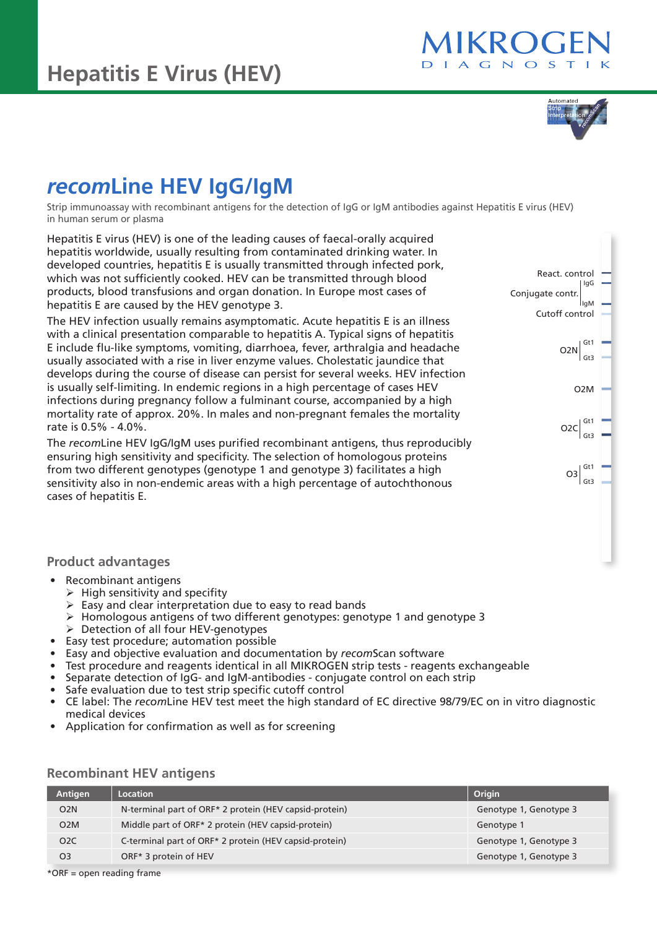



React. control

IgG IgM

Gt<sup>-</sup>  $G<sub>1</sub>$ 

O2M

Cutoff control

O2N

 $O2C$ Gt3

> $O3$ <sup>Gt1</sup> Gt3

Conjugate contr.

# *recom***Line HEV IgG/IgM**

Strip immunoassay with recombinant antigens for the detection of IgG or IgM antibodies against Hepatitis E virus (HEV) in human serum or plasma

Hepatitis E virus (HEV) is one of the leading causes of faecal-orally acquired hepatitis worldwide, usually resulting from contaminated drinking water. In developed countries, hepatitis E is usually transmitted through infected pork, which was not sufficiently cooked. HEV can be transmitted through blood products, blood transfusions and organ donation. In Europe most cases of hepatitis E are caused by the HEV genotype 3.

The HEV infection usually remains asymptomatic. Acute hepatitis E is an illness with a clinical presentation comparable to hepatitis A. Typical signs of hepatitis E include flu-like symptoms, vomiting, diarrhoea, fever, arthralgia and headache usually associated with a rise in liver enzyme values. Cholestatic jaundice that develops during the course of disease can persist for several weeks. HEV infection is usually self-limiting. In endemic regions in a high percentage of cases HEV infections during pregnancy follow a fulminant course, accompanied by a high mortality rate of approx. 20%. In males and non-pregnant females the mortality rate is 0.5% - 4.0%.

The *recom*Line HEV IgG/IgM uses purified recombinant antigens, thus reproducibly ensuring high sensitivity and specificity. The selection of homologous proteins from two different genotypes (genotype 1 and genotype 3) facilitates a high sensitivity also in non-endemic areas with a high percentage of autochthonous cases of hepatitis E.

**Product advantages**

- Recombinant antigens
	- $\triangleright$  High sensitivity and specifity
	- $\triangleright$  Easy and clear interpretation due to easy to read bands
	- ¾ Homologous antigens of two different genotypes: genotype 1 and genotype 3
- $\triangleright$  Detection of all four HEV-genotypes
- Easy test procedure; automation possible
- Easy and objective evaluation and documentation by *recom*Scan software
- Test procedure and reagents identical in all MIKROGEN strip tests reagents exchangeable
- Separate detection of IgG- and IgM-antibodies conjugate control on each strip
- Safe evaluation due to test strip specific cutoff control
- CE label: The *recom*Line HEV test meet the high standard of EC directive 98/79/EC on in vitro diagnostic medical devices
- Application for confirmation as well as for screening

| Antigen          | Location                                               | Origin                 |
|------------------|--------------------------------------------------------|------------------------|
| O <sub>2</sub> N | N-terminal part of ORF* 2 protein (HEV capsid-protein) | Genotype 1, Genotype 3 |
| O <sub>2</sub> M | Middle part of ORF* 2 protein (HEV capsid-protein)     | Genotype 1             |
| O <sub>2</sub> C | C-terminal part of ORF* 2 protein (HEV capsid-protein) | Genotype 1, Genotype 3 |
| O <sub>3</sub>   | ORF* 3 protein of HEV                                  | Genotype 1, Genotype 3 |

#### **Recombinant HEV antigens**

\*ORF = open reading frame